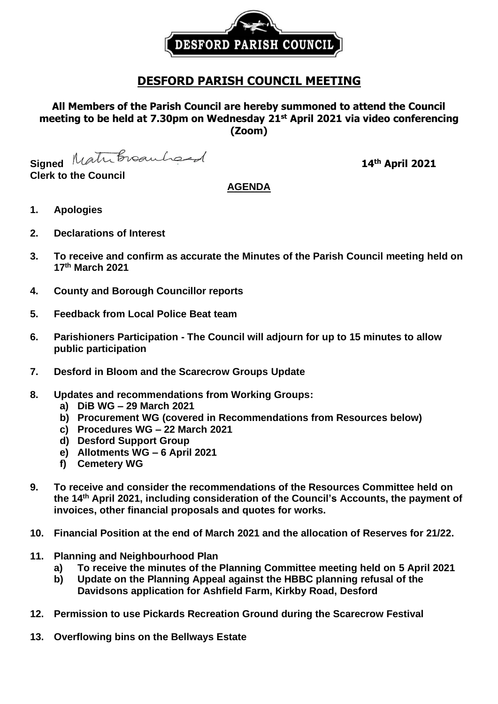

# **DESFORD PARISH COUNCIL MEETING**

# **All Members of the Parish Council are hereby summoned to attend the Council meeting to be held at 7.30pm on Wednesday 21st April 2021 via video conferencing (Zoom)**

Signed Matribroauhord

**Clerk to the Council**

# **th April 2021**

## **AGENDA**

- **1. Apologies**
- **2. Declarations of Interest**
- **3. To receive and confirm as accurate the Minutes of the Parish Council meeting held on 17th March 2021**
- **4. County and Borough Councillor reports**
- **5. Feedback from Local Police Beat team**
- **6. Parishioners Participation - The Council will adjourn for up to 15 minutes to allow public participation**
- **7. Desford in Bloom and the Scarecrow Groups Update**
- **8. Updates and recommendations from Working Groups:**
	- **a) DiB WG – 29 March 2021**
	- **b) Procurement WG (covered in Recommendations from Resources below)**
	- **c) Procedures WG – 22 March 2021**
	- **d) Desford Support Group**
	- **e) Allotments WG – 6 April 2021**
	- **f) Cemetery WG**
- **9. To receive and consider the recommendations of the Resources Committee held on the 14 th April 2021, including consideration of the Council's Accounts, the payment of invoices, other financial proposals and quotes for works.**
- **10. Financial Position at the end of March 2021 and the allocation of Reserves for 21/22.**
- **11. Planning and Neighbourhood Plan**
	- **a) To receive the minutes of the Planning Committee meeting held on 5 April 2021**
	- **b) Update on the Planning Appeal against the HBBC planning refusal of the Davidsons application for Ashfield Farm, Kirkby Road, Desford**
- **12. Permission to use Pickards Recreation Ground during the Scarecrow Festival**
- **13. Overflowing bins on the Bellways Estate**